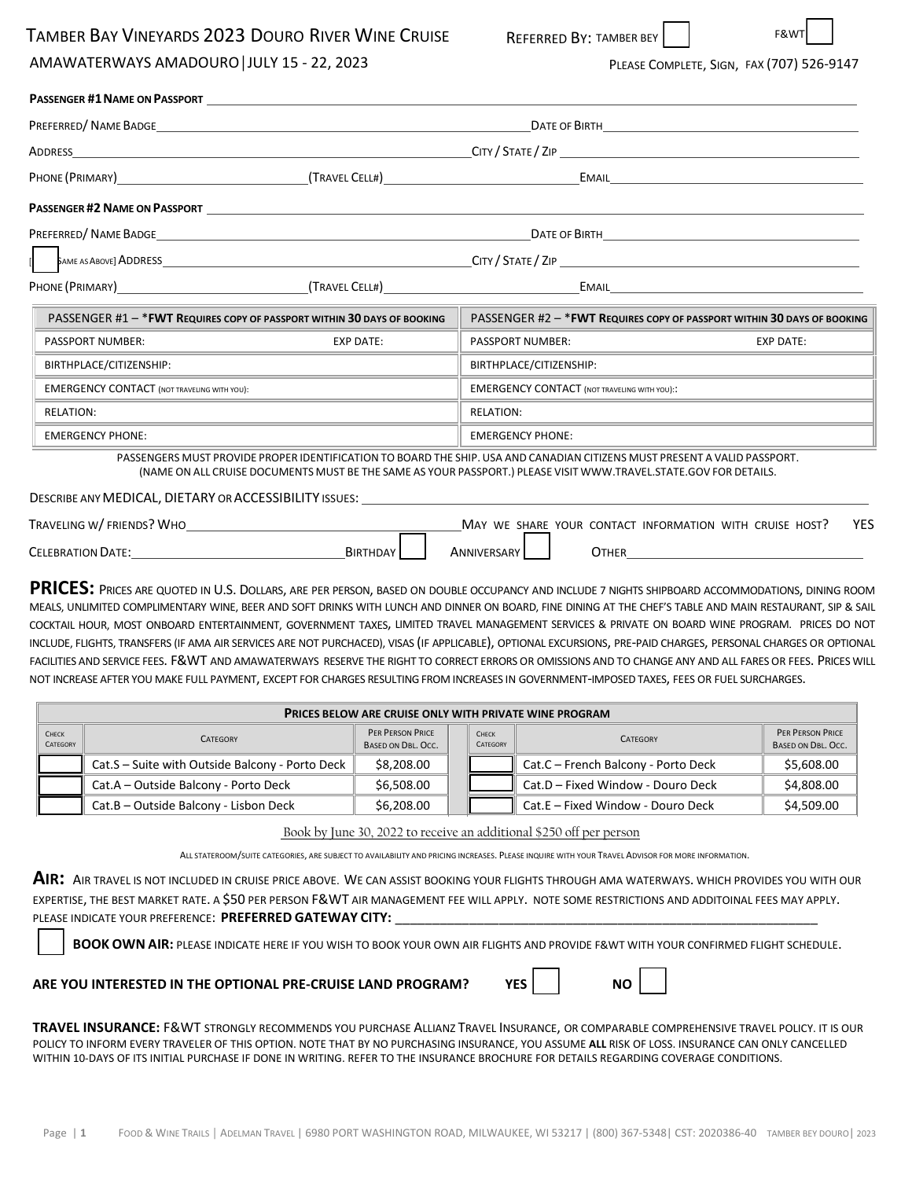## TAMBER BAY VINEYARDS 2023 DOURO RIVER WINE CRUISE

AMAWATERWAYS AMADOURO│JULY 15 - 22, 2023

REFERRED BY: TAMBER BEY | | F&W

PLEASE COMPLETE, SIGN, FAX (707) 526-9147

| ADDRESS                                                                                                                                                                                                                                                                                                                                                                                                                                                                                                                                                                                                                                                                                                                                                                                                                                                                                                                                      |                  |                                                                                                                                                                                                                                               |                                      |  |  |  |
|----------------------------------------------------------------------------------------------------------------------------------------------------------------------------------------------------------------------------------------------------------------------------------------------------------------------------------------------------------------------------------------------------------------------------------------------------------------------------------------------------------------------------------------------------------------------------------------------------------------------------------------------------------------------------------------------------------------------------------------------------------------------------------------------------------------------------------------------------------------------------------------------------------------------------------------------|------------------|-----------------------------------------------------------------------------------------------------------------------------------------------------------------------------------------------------------------------------------------------|--------------------------------------|--|--|--|
| PHONE (PRIMARY) (TRAVEL CELL#)                                                                                                                                                                                                                                                                                                                                                                                                                                                                                                                                                                                                                                                                                                                                                                                                                                                                                                               |                  |                                                                                                                                                                                                                                               |                                      |  |  |  |
|                                                                                                                                                                                                                                                                                                                                                                                                                                                                                                                                                                                                                                                                                                                                                                                                                                                                                                                                              |                  |                                                                                                                                                                                                                                               |                                      |  |  |  |
|                                                                                                                                                                                                                                                                                                                                                                                                                                                                                                                                                                                                                                                                                                                                                                                                                                                                                                                                              |                  |                                                                                                                                                                                                                                               | DATE OF BIRTH <b>EXECUTIVE STATE</b> |  |  |  |
|                                                                                                                                                                                                                                                                                                                                                                                                                                                                                                                                                                                                                                                                                                                                                                                                                                                                                                                                              |                  |                                                                                                                                                                                                                                               |                                      |  |  |  |
| PHONE (PRIMARY) CONTRACTED TRAVEL CELL#) CHARGE CELL# CONTRACTED EMAIL                                                                                                                                                                                                                                                                                                                                                                                                                                                                                                                                                                                                                                                                                                                                                                                                                                                                       |                  |                                                                                                                                                                                                                                               |                                      |  |  |  |
| PASSENGER #1 - * FWT REQUIRES COPY OF PASSPORT WITHIN 30 DAYS OF BOOKING                                                                                                                                                                                                                                                                                                                                                                                                                                                                                                                                                                                                                                                                                                                                                                                                                                                                     |                  | PASSENGER #2 - * FWT REQUIRES COPY OF PASSPORT WITHIN 30 DAYS OF BOOKING                                                                                                                                                                      |                                      |  |  |  |
| <b>PASSPORT NUMBER:</b>                                                                                                                                                                                                                                                                                                                                                                                                                                                                                                                                                                                                                                                                                                                                                                                                                                                                                                                      | <b>EXP DATE:</b> | <b>PASSPORT NUMBER:</b>                                                                                                                                                                                                                       | <b>EXP DATE:</b>                     |  |  |  |
| BIRTHPLACE/CITIZENSHIP:                                                                                                                                                                                                                                                                                                                                                                                                                                                                                                                                                                                                                                                                                                                                                                                                                                                                                                                      |                  | BIRTHPLACE/CITIZENSHIP:                                                                                                                                                                                                                       |                                      |  |  |  |
| <b>EMERGENCY CONTACT (NOT TRAVELING WITH YOU):</b>                                                                                                                                                                                                                                                                                                                                                                                                                                                                                                                                                                                                                                                                                                                                                                                                                                                                                           |                  | <b>EMERGENCY CONTACT (NOT TRAVELING WITH YOU)::</b>                                                                                                                                                                                           |                                      |  |  |  |
| <b>RELATION:</b>                                                                                                                                                                                                                                                                                                                                                                                                                                                                                                                                                                                                                                                                                                                                                                                                                                                                                                                             |                  | <b>RELATION:</b>                                                                                                                                                                                                                              |                                      |  |  |  |
| <b>EMERGENCY PHONE:</b>                                                                                                                                                                                                                                                                                                                                                                                                                                                                                                                                                                                                                                                                                                                                                                                                                                                                                                                      |                  | <b>EMERGENCY PHONE:</b>                                                                                                                                                                                                                       |                                      |  |  |  |
| DESCRIBE ANY MEDICAL, DIETARY OR ACCESSIBILITY ISSUES:                                                                                                                                                                                                                                                                                                                                                                                                                                                                                                                                                                                                                                                                                                                                                                                                                                                                                       |                  | PASSENGERS MUST PROVIDE PROPER IDENTIFICATION TO BOARD THE SHIP. USA AND CANADIAN CITIZENS MUST PRESENT A VALID PASSPORT.<br>(NAME ON ALL CRUISE DOCUMENTS MUST BE THE SAME AS YOUR PASSPORT.) PLEASE VISIT WWW.TRAVEL.STATE.GOV FOR DETAILS. |                                      |  |  |  |
| TRAVELING W/ FRIENDS? WHO                                                                                                                                                                                                                                                                                                                                                                                                                                                                                                                                                                                                                                                                                                                                                                                                                                                                                                                    |                  | MAY WE SHARE YOUR CONTACT INFORMATION WITH CRUISE HOST?                                                                                                                                                                                       | <b>YES</b>                           |  |  |  |
|                                                                                                                                                                                                                                                                                                                                                                                                                                                                                                                                                                                                                                                                                                                                                                                                                                                                                                                                              | BIRTHDAY         | ANNIVERSARY                                                                                                                                                                                                                                   | <b>OTHER CONTRACTER</b>              |  |  |  |
| PRICES: PRICES ARE QUOTED IN U.S. DOLLARS, ARE PER PERSON, BASED ON DOUBLE OCCUPANCY AND INCLUDE 7 NIGHTS SHIPBOARD ACCOMMODATIONS, DINING ROOM<br>MEALS, UNLIMITED COMPLIMENTARY WINE, BEER AND SOFT DRINKS WITH LUNCH AND DINNER ON BOARD, FINE DINING AT THE CHEF'S TABLE AND MAIN RESTAURANT, SIP & SAIL<br>COCKTAIL HOUR, MOST ONBOARD ENTERTAINMENT, GOVERNMENT TAXES, LIMITED TRAVEL MANAGEMENT SERVICES & PRIVATE ON BOARD WINE PROGRAM. PRICES DO NOT<br>INCLUDE, FLIGHTS, TRANSFERS (IF AMA AIR SERVICES ARE NOT PURCHACED), VISAS (IF APPLICABLE), OPTIONAL EXCURSIONS, PRE-PAID CHARGES, PERSONAL CHARGES OR OPTIONAL<br>FACILITIES AND SERVICE FEES. F&WT AND AMAWATERWAYS RESERVE THE RIGHT TO CORRECT ERRORS OR OMISSIONS AND TO CHANGE ANY AND ALL FARES OR FEES. PRICES WILL<br>NOT INCREASE AFTER YOU MAKE FULL PAYMENT, EXCEPT FOR CHARGES RESULTING FROM INCREASES IN GOVERNMENT-IMPOSED TAXES, FEES OR FUEL SURCHARGES. |                  |                                                                                                                                                                                                                                               |                                      |  |  |  |

| <b>PRICES BELOW ARE CRUISE ONLY WITH PRIVATE WINE PROGRAM</b> |                                                 |                                               |  |                          |                                     |                                        |  |  |
|---------------------------------------------------------------|-------------------------------------------------|-----------------------------------------------|--|--------------------------|-------------------------------------|----------------------------------------|--|--|
| <b>CHECK</b><br>CATEGORY                                      | <b>CATEGORY</b>                                 | <b>PER PERSON PRICE</b><br>BASED ON DBL, OCC. |  | <b>CHECK</b><br>CATEGORY | <b>CATEGORY</b>                     | PER PERSON PRICE<br>BASED ON DBL. OCC. |  |  |
|                                                               | Cat.S - Suite with Outside Balcony - Porto Deck | \$8,208.00                                    |  |                          | Cat.C - French Balcony - Porto Deck | \$5,608.00                             |  |  |
|                                                               | Cat.A - Outside Balcony - Porto Deck            | \$6,508.00                                    |  |                          | Cat.D - Fixed Window - Douro Deck   | \$4,808.00                             |  |  |
|                                                               | Cat.B - Outside Balcony - Lisbon Deck           | \$6,208.00                                    |  |                          | Cat.E – Fixed Window - Douro Deck   | \$4,509.00                             |  |  |

Book by June 30, 2022 to receive an additional \$250 off per person

ALL STATEROOM/SUITE CATEGORIES, ARE SUBJECT TO AVAILABILITY AND PRICING INCREASES. PLEASE INQUIRE WITH YOUR TRAVEL ADVISOR FOR MORE INFORMATION.

AIR: AIR TRAVEL IS NOT INCLUDED IN CRUISE PRICE ABOVE. WE CAN ASSIST BOOKING YOUR FLIGHTS THROUGH AMA WATERWAYS. WHICH PROVIDES YOU WITH OUR EXPERTISE, THE BEST MARKET RATE. A \$50 PER PERSON F&WT AIR MANAGEMENT FEE WILL APPLY. NOTE SOME RESTRICTIONS AND ADDITOINAL FEES MAY APPLY. PLEASE INDICATE YOUR PREFERENCE: PREFERRED GATEWAY CITY:

**BOOK OWN AIR:** PLEASE INDICATE HERE IF YOU WISH TO BOOK YOUR OWN AIR FLIGHTS AND PROVIDE F&WT WITH YOUR CONFIRMED FLIGHT SCHEDULE.

**ARE YOU INTERESTED IN THE OPTIONAL PRE-CRUISE LAND PROGRAM? YES NO**



**TRAVEL INSURANCE:** F&WT STRONGLY RECOMMENDS YOU PURCHASE ALLIANZ TRAVEL INSURANCE, OR COMPARABLE COMPREHENSIVE TRAVEL POLICY. IT IS OUR POLICY TO INFORM EVERY TRAVELER OF THIS OPTION. NOTE THAT BY NO PURCHASING INSURANCE, YOU ASSUME **ALL** RISK OF LOSS. INSURANCE CAN ONLY CANCELLED

WITHIN 10-DAYS OF ITS INITIAL PURCHASE IF DONE IN WRITING. REFER TO THE INSURANCE BROCHURE FOR DETAILS REGARDING COVERAGE CONDITIONS.